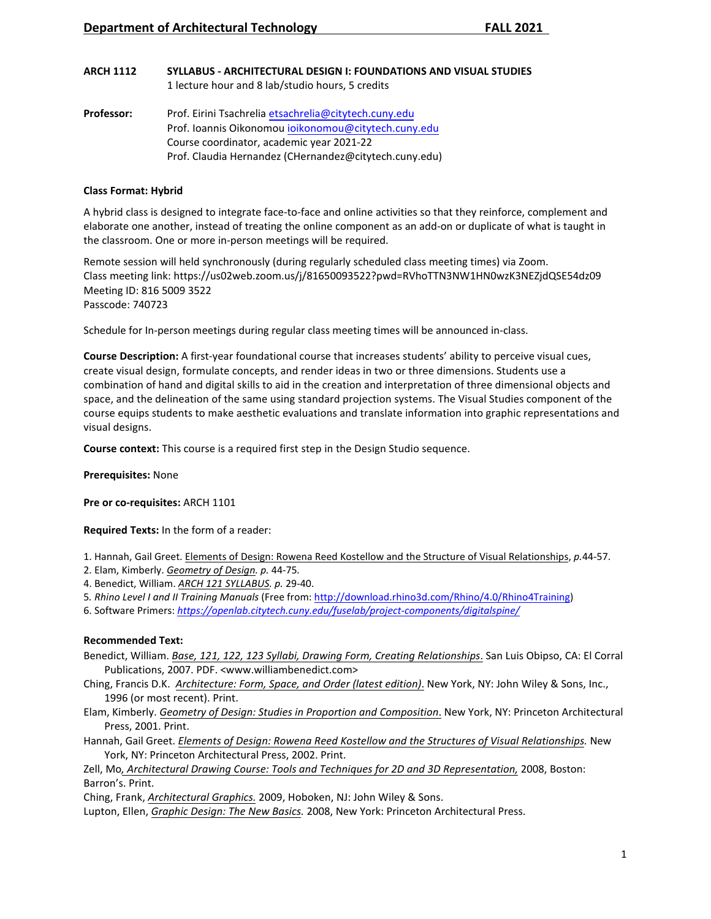#### **ARCH 1112 SYLLABUS - ARCHITECTURAL DESIGN I: FOUNDATIONS AND VISUAL STUDIES** 1 lecture hour and 8 lab/studio hours, 5 credits

**Professor:** Prof. Eirini Tsachrelia etsachrelia@citytech.cuny.edu Prof. Ioannis Oikonomou [ioikonomou@citytech.cuny.edu](mailto:ioikonomou@citytech.cuny.edu) Course coordinator, academic year 2021-22 Prof. Claudia Hernandez (CHernandez@citytech.cuny.edu)

## **Class Format: Hybrid**

A hybrid class is designed to integrate face-to-face and online activities so that they reinforce, complement and elaborate one another, instead of treating the online component as an add-on or duplicate of what is taught in the classroom. One or more in-person meetings will be required.

Remote session will held synchronously (during regularly sc[he](https://us02web.zoom.us/j/81650093522?pwd=RVhoTTN3NW1HN0wzK3NEZjdQSE54dz09)duled class meeting times) via Zoom. Class meeting link: https://us02web.zoom.us/j/81650093522?pwd=RVhoTTN3NW1HN0wzK3NEZjdQSE54dz09 Meeting ID: 816 5009 3522 Passcode: 740723

Schedule for In-person meetings during regular class meeting times will be announced in-class.

**Course Description:** A first-year foundational course that increases students' ability to perceive visual cues, create visual design, formulate concepts, and render ideas in two or three dimensions. Students use a combination of hand and digital skills to aid in the creation and interpretation of three dimensional objects and space, and the delineation of the same using standard projection systems. The Visual Studies component of the course equips students to make aesthetic evaluations and translate information into graphic representations and visual designs.

**Course context:** This course is a required first step in the Design Studio sequence.

**Prerequisites:** None

**Pre or co-requisites:** ARCH 1101

**Required Texts:** In the form of a reader:

1. Hannah, Gail Greet. Elements of Design: Rowena Reed Kostellow and the Structure of Visual Relationships, *p.*44-57.

2. Elam, Kimberly. *Geometry of Design. p.* 44-75*.*

- 4. Benedict, William. *ARCH 121 SYLLABUS. p.* 29-40.
- 5*. Rhino Level I and II Training Manuals* (Free from[: http://download.rhino3d.com/Rhino/4.0/Rhino4Training\)](http://download.rhino3d.com/Rhino/4.0/Rhino4Training)
- 6. Software Primers: *https://openlab.citytech.cuny.edu/fuselab/project-components/digitalspine/*

# **Recommended Text:**

- Benedict, William. *Base, 121, 122, 123 Syllabi, Drawing Form, Creating Relationships*. San Luis Obipso, CA: El Corral Publications, 2007. PDF. <www.williambenedict.com>
- Ching, Francis D.K. *Architecture: Form, Space, and Order (latest edition)*. New York, NY: John Wiley & Sons, Inc., 1996 (or most recent). Print.
- Elam, Kimberly. *Geometry of Design: Studies in Proportion and Composition*. New York, NY: Princeton Architectural Press, 2001. Print.
- Hannah, Gail Greet. *Elements of Design: Rowena Reed Kostellow and the Structures of Visual Relationships.* New York, NY: Princeton Architectural Press, 2002. Print.

Zell, Mo*, Architectural Drawing Course: Tools and Techniques for 2D and 3D Representation,* 2008, Boston: Barron's. Print.

Ching, Frank, *Architectural Graphics.* 2009, Hoboken, NJ: John Wiley & Sons.

Lupton, Ellen, *Graphic Design: The New Basics.* 2008, New York: Princeton Architectural Press.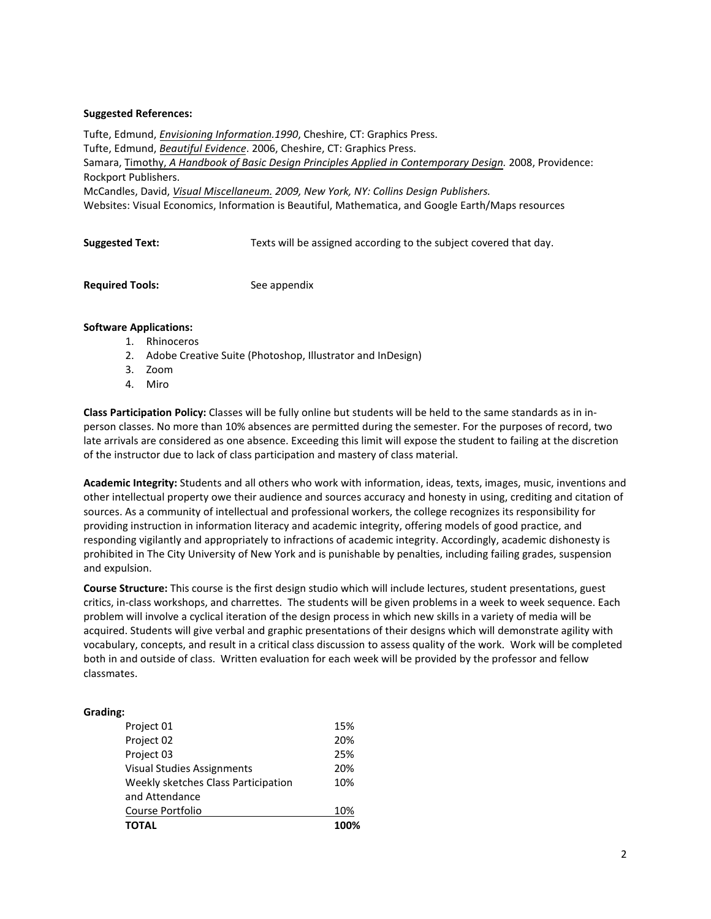### **Suggested References:**

Tufte, Edmund, *Envisioning Information.1990*, Cheshire, CT: Graphics Press. Tufte, Edmund, *Beautiful Evidence*. 2006, Cheshire, CT: Graphics Press. Samara, Timothy, *A Handbook of Basic Design Principles Applied in Contemporary Design.* 2008, Providence: Rockport Publishers. McCandles, David, *Visual Miscellaneum. 2009, New York, NY: Collins Design Publishers.*  Websites: Visual Economics, Information is Beautiful, Mathematica, and Google Earth/Maps resources

**Suggested Text:** Texts will be assigned according to the subject covered that day.

**Required Tools:** See appendix

### **Software Applications:**

- 1. Rhinoceros
- 2. Adobe Creative Suite (Photoshop, Illustrator and InDesign)
- 3. Zoom
- 4. Miro

**Class Participation Policy:** Classes will be fully online but students will be held to the same standards as in inperson classes. No more than 10% absences are permitted during the semester. For the purposes of record, two late arrivals are considered as one absence. Exceeding this limit will expose the student to failing at the discretion of the instructor due to lack of class participation and mastery of class material.

**Academic Integrity:** Students and all others who work with information, ideas, texts, images, music, inventions and other intellectual property owe their audience and sources accuracy and honesty in using, crediting and citation of sources. As a community of intellectual and professional workers, the college recognizes its responsibility for providing instruction in information literacy and academic integrity, offering models of good practice, and responding vigilantly and appropriately to infractions of academic integrity. Accordingly, academic dishonesty is prohibited in The City University of New York and is punishable by penalties, including failing grades, suspension and expulsion.

**Course Structure:** This course is the first design studio which will include lectures, student presentations, guest critics, in-class workshops, and charrettes. The students will be given problems in a week to week sequence. Each problem will involve a cyclical iteration of the design process in which new skills in a variety of media will be acquired. Students will give verbal and graphic presentations of their designs which will demonstrate agility with vocabulary, concepts, and result in a critical class discussion to assess quality of the work. Work will be completed both in and outside of class. Written evaluation for each week will be provided by the professor and fellow classmates.

# **Grading:**

| <b>TOTAL</b>                        | 100% |
|-------------------------------------|------|
| Course Portfolio                    | 10%  |
| and Attendance                      |      |
| Weekly sketches Class Participation | 10%  |
| Visual Studies Assignments          | 20%  |
| Project 03                          | 25%  |
| Project 02                          | 20%  |
| Project 01                          | 15%  |
|                                     |      |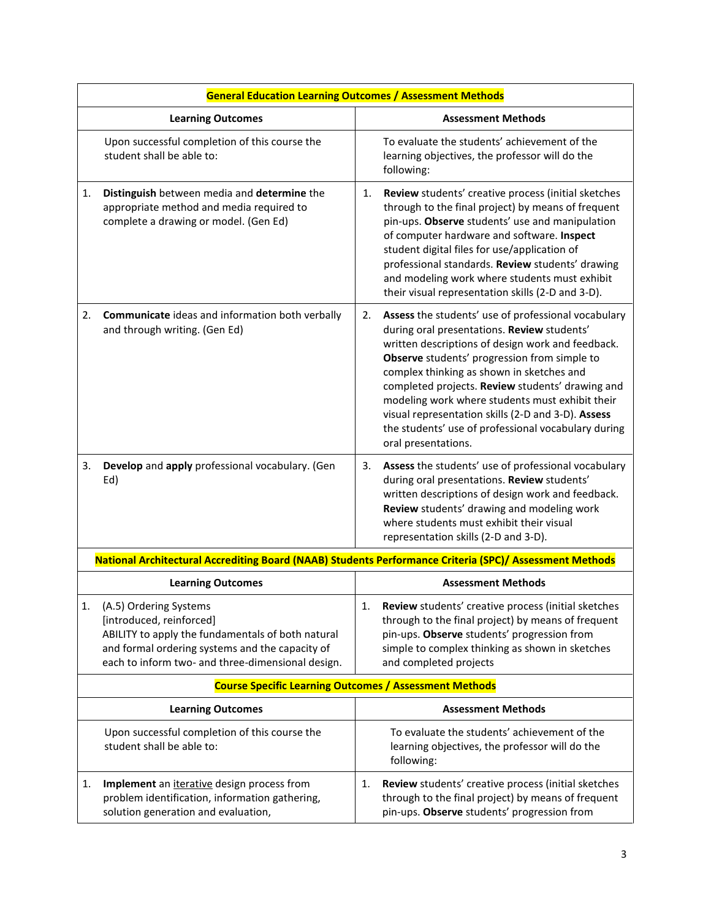|    | <b>General Education Learning Outcomes / Assessment Methods</b>                                                                                                                                                 |    |                                                                                                                                                                                                                                                                                                                                                                                                                                                                                                 |  |
|----|-----------------------------------------------------------------------------------------------------------------------------------------------------------------------------------------------------------------|----|-------------------------------------------------------------------------------------------------------------------------------------------------------------------------------------------------------------------------------------------------------------------------------------------------------------------------------------------------------------------------------------------------------------------------------------------------------------------------------------------------|--|
|    | <b>Learning Outcomes</b>                                                                                                                                                                                        |    | <b>Assessment Methods</b>                                                                                                                                                                                                                                                                                                                                                                                                                                                                       |  |
|    | Upon successful completion of this course the<br>student shall be able to:                                                                                                                                      |    | To evaluate the students' achievement of the<br>learning objectives, the professor will do the<br>following:                                                                                                                                                                                                                                                                                                                                                                                    |  |
| 1. | Distinguish between media and determine the<br>appropriate method and media required to<br>complete a drawing or model. (Gen Ed)                                                                                | 1. | Review students' creative process (initial sketches<br>through to the final project) by means of frequent<br>pin-ups. Observe students' use and manipulation<br>of computer hardware and software. Inspect<br>student digital files for use/application of<br>professional standards. Review students' drawing<br>and modeling work where students must exhibit<br>their visual representation skills (2-D and 3-D).                                                                            |  |
| 2. | <b>Communicate</b> ideas and information both verbally<br>and through writing. (Gen Ed)                                                                                                                         | 2. | Assess the students' use of professional vocabulary<br>during oral presentations. Review students'<br>written descriptions of design work and feedback.<br>Observe students' progression from simple to<br>complex thinking as shown in sketches and<br>completed projects. Review students' drawing and<br>modeling work where students must exhibit their<br>visual representation skills (2-D and 3-D). Assess<br>the students' use of professional vocabulary during<br>oral presentations. |  |
| 3. | Develop and apply professional vocabulary. (Gen<br>Ed)                                                                                                                                                          | 3. | Assess the students' use of professional vocabulary<br>during oral presentations. Review students'<br>written descriptions of design work and feedback.<br>Review students' drawing and modeling work<br>where students must exhibit their visual<br>representation skills (2-D and 3-D).                                                                                                                                                                                                       |  |
|    | National Architectural Accrediting Board (NAAB) Students Performance Criteria (SPC)/ Assessment Methods                                                                                                         |    |                                                                                                                                                                                                                                                                                                                                                                                                                                                                                                 |  |
|    | <b>Learning Outcomes</b>                                                                                                                                                                                        |    | <b>Assessment Methods</b>                                                                                                                                                                                                                                                                                                                                                                                                                                                                       |  |
|    | (A.5) Ordering Systems<br>[introduced, reinforced]<br>ABILITY to apply the fundamentals of both natural<br>and formal ordering systems and the capacity of<br>each to inform two- and three-dimensional design. | 1. | Review students' creative process (initial sketches<br>through to the final project) by means of frequent<br>pin-ups. Observe students' progression from<br>simple to complex thinking as shown in sketches<br>and completed projects                                                                                                                                                                                                                                                           |  |
|    | <b>Course Specific Learning Outcomes / Assessment Methods</b>                                                                                                                                                   |    |                                                                                                                                                                                                                                                                                                                                                                                                                                                                                                 |  |
|    | <b>Learning Outcomes</b>                                                                                                                                                                                        |    | <b>Assessment Methods</b>                                                                                                                                                                                                                                                                                                                                                                                                                                                                       |  |
|    | Upon successful completion of this course the<br>student shall be able to:                                                                                                                                      |    | To evaluate the students' achievement of the<br>learning objectives, the professor will do the<br>following:                                                                                                                                                                                                                                                                                                                                                                                    |  |
| 1. | Implement an <i>iterative</i> design process from<br>problem identification, information gathering,<br>solution generation and evaluation,                                                                      | 1. | Review students' creative process (initial sketches<br>through to the final project) by means of frequent<br>pin-ups. Observe students' progression from                                                                                                                                                                                                                                                                                                                                        |  |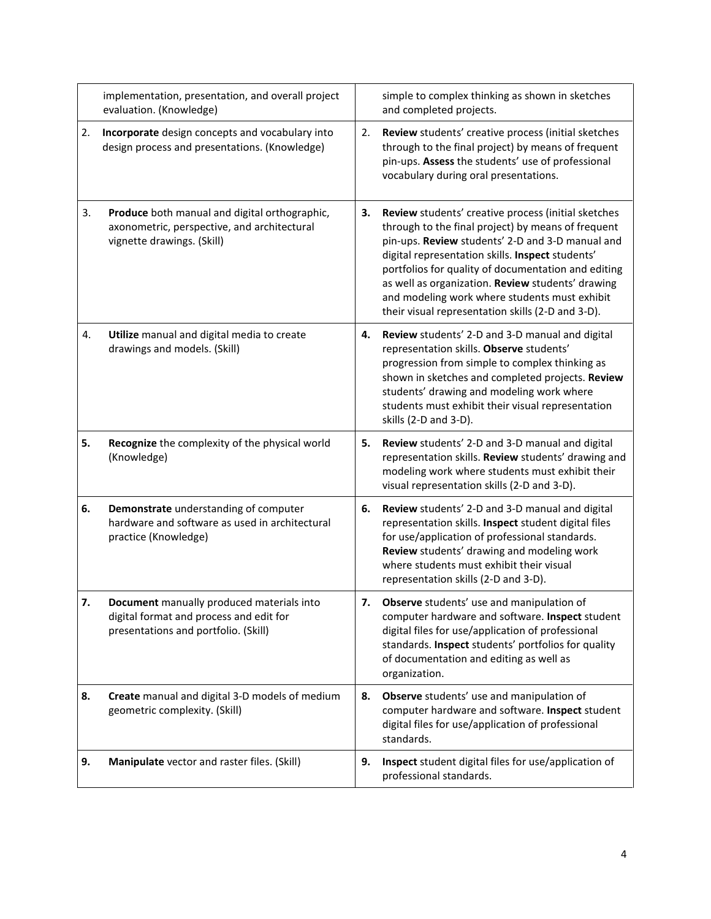|    | implementation, presentation, and overall project<br>evaluation. (Knowledge)                                                 |    | simple to complex thinking as shown in sketches<br>and completed projects.                                                                                                                                                                                                                                                                                                                                                          |
|----|------------------------------------------------------------------------------------------------------------------------------|----|-------------------------------------------------------------------------------------------------------------------------------------------------------------------------------------------------------------------------------------------------------------------------------------------------------------------------------------------------------------------------------------------------------------------------------------|
| 2. | Incorporate design concepts and vocabulary into<br>design process and presentations. (Knowledge)                             | 2. | Review students' creative process (initial sketches<br>through to the final project) by means of frequent<br>pin-ups. Assess the students' use of professional<br>vocabulary during oral presentations.                                                                                                                                                                                                                             |
| 3. | Produce both manual and digital orthographic,<br>axonometric, perspective, and architectural<br>vignette drawings. (Skill)   | з. | Review students' creative process (initial sketches<br>through to the final project) by means of frequent<br>pin-ups. Review students' 2-D and 3-D manual and<br>digital representation skills. Inspect students'<br>portfolios for quality of documentation and editing<br>as well as organization. Review students' drawing<br>and modeling work where students must exhibit<br>their visual representation skills (2-D and 3-D). |
| 4. | Utilize manual and digital media to create<br>drawings and models. (Skill)                                                   | 4. | Review students' 2-D and 3-D manual and digital<br>representation skills. Observe students'<br>progression from simple to complex thinking as<br>shown in sketches and completed projects. Review<br>students' drawing and modeling work where<br>students must exhibit their visual representation<br>skills (2-D and 3-D).                                                                                                        |
| 5. | Recognize the complexity of the physical world<br>(Knowledge)                                                                | 5. | Review students' 2-D and 3-D manual and digital<br>representation skills. Review students' drawing and<br>modeling work where students must exhibit their<br>visual representation skills (2-D and 3-D).                                                                                                                                                                                                                            |
| 6. | Demonstrate understanding of computer<br>hardware and software as used in architectural<br>practice (Knowledge)              | 6. | Review students' 2-D and 3-D manual and digital<br>representation skills. Inspect student digital files<br>for use/application of professional standards.<br>Review students' drawing and modeling work<br>where students must exhibit their visual<br>representation skills (2-D and 3-D).                                                                                                                                         |
| 7. | Document manually produced materials into<br>digital format and process and edit for<br>presentations and portfolio. (Skill) | 7. | Observe students' use and manipulation of<br>computer hardware and software. Inspect student<br>digital files for use/application of professional<br>standards. Inspect students' portfolios for quality<br>of documentation and editing as well as<br>organization.                                                                                                                                                                |
| 8. | Create manual and digital 3-D models of medium<br>geometric complexity. (Skill)                                              | 8. | Observe students' use and manipulation of<br>computer hardware and software. Inspect student<br>digital files for use/application of professional<br>standards.                                                                                                                                                                                                                                                                     |
| 9. | Manipulate vector and raster files. (Skill)                                                                                  | 9. | Inspect student digital files for use/application of<br>professional standards.                                                                                                                                                                                                                                                                                                                                                     |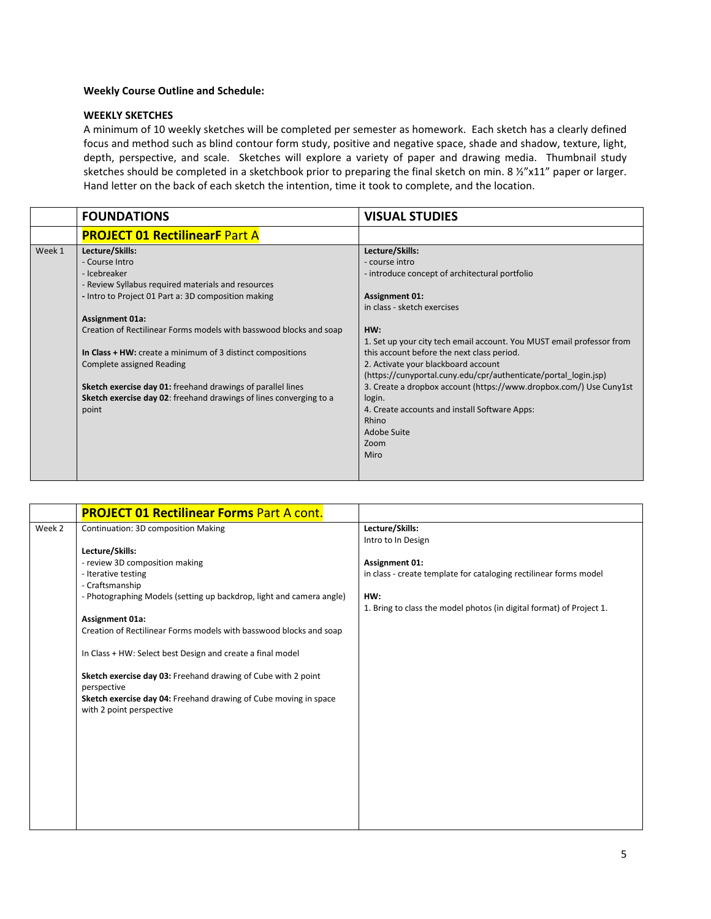### **Weekly Course Outline and Schedule:**

### **WEEKLY SKETCHES**

A minimum of 10 weekly sketches will be completed per semester as homework. Each sketch has a clearly defined focus and method such as blind contour form study, positive and negative space, shade and shadow, texture, light, depth, perspective, and scale. Sketches will explore a variety of paper and drawing media. Thumbnail study sketches should be completed in a sketchbook prior to preparing the final sketch on min. 8 ½"x11" paper or larger. Hand letter on the back of each sketch the intention, time it took to complete, and the location.

| Lecture/Skills:<br>- course intro<br>- introduce concept of architectural portfolio<br><b>Assignment 01:</b><br>in class - sketch exercises<br>Creation of Rectilinear Forms models with basswood blocks and soap<br>HW:<br>1. Set up your city tech email account. You MUST email professor from<br>this account before the next class period.<br>In Class + HW: create a minimum of 3 distinct compositions<br>2. Activate your blackboard account<br>(https://cunyportal.cuny.edu/cpr/authenticate/portal_login.jsp)<br>3. Create a dropbox account (https://www.dropbox.com/) Use Cuny1st<br>Sketch exercise day 01: freehand drawings of parallel lines<br><b>Sketch exercise day 02:</b> freehand drawings of lines converging to a<br>login.<br>4. Create accounts and install Software Apps:<br>Rhino<br>Adobe Suite |
|------------------------------------------------------------------------------------------------------------------------------------------------------------------------------------------------------------------------------------------------------------------------------------------------------------------------------------------------------------------------------------------------------------------------------------------------------------------------------------------------------------------------------------------------------------------------------------------------------------------------------------------------------------------------------------------------------------------------------------------------------------------------------------------------------------------------------|
| Zoom<br>Miro                                                                                                                                                                                                                                                                                                                                                                                                                                                                                                                                                                                                                                                                                                                                                                                                                 |
|                                                                                                                                                                                                                                                                                                                                                                                                                                                                                                                                                                                                                                                                                                                                                                                                                              |

|        | <b>PROJECT 01 Rectilinear Forms Part A cont.</b>                                             |                                                                      |
|--------|----------------------------------------------------------------------------------------------|----------------------------------------------------------------------|
| Week 2 | Continuation: 3D composition Making                                                          | Lecture/Skills:                                                      |
|        |                                                                                              | Intro to In Design                                                   |
|        | Lecture/Skills:                                                                              |                                                                      |
|        | - review 3D composition making                                                               | <b>Assignment 01:</b>                                                |
|        | - Iterative testing                                                                          | in class - create template for cataloging rectilinear forms model    |
|        | - Craftsmanship                                                                              |                                                                      |
|        | - Photographing Models (setting up backdrop, light and camera angle)                         | HW:                                                                  |
|        |                                                                                              | 1. Bring to class the model photos (in digital format) of Project 1. |
|        | Assignment 01a:                                                                              |                                                                      |
|        | Creation of Rectilinear Forms models with basswood blocks and soap                           |                                                                      |
|        | In Class + HW: Select best Design and create a final model                                   |                                                                      |
|        | Sketch exercise day 03: Freehand drawing of Cube with 2 point<br>perspective                 |                                                                      |
|        | Sketch exercise day 04: Freehand drawing of Cube moving in space<br>with 2 point perspective |                                                                      |
|        |                                                                                              |                                                                      |
|        |                                                                                              |                                                                      |
|        |                                                                                              |                                                                      |
|        |                                                                                              |                                                                      |
|        |                                                                                              |                                                                      |
|        |                                                                                              |                                                                      |
|        |                                                                                              |                                                                      |
|        |                                                                                              |                                                                      |
|        |                                                                                              |                                                                      |
|        |                                                                                              |                                                                      |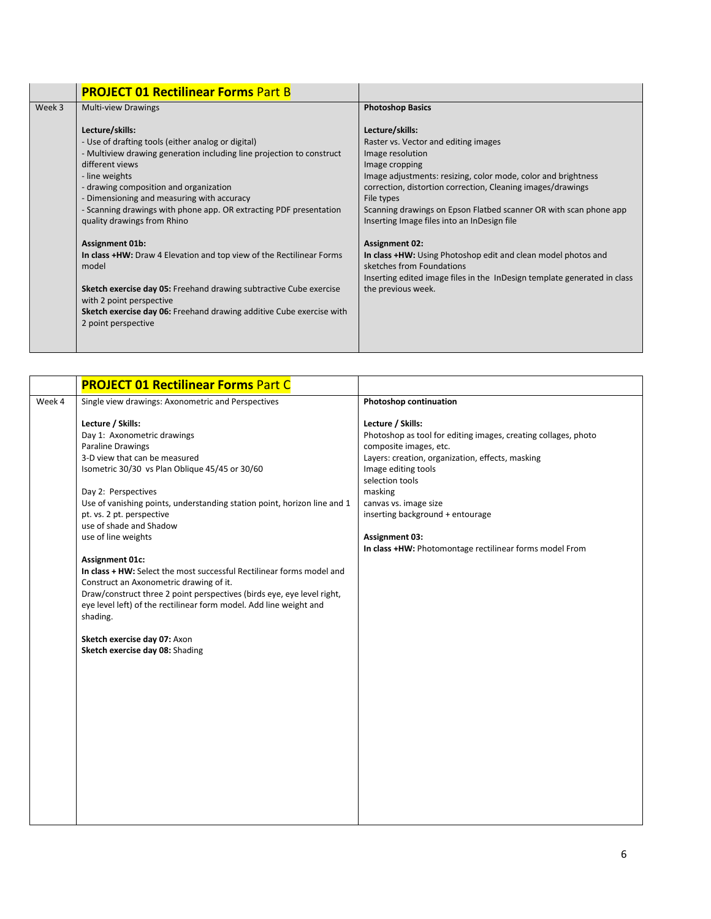|        | <b>PROJECT 01 Rectilinear Forms Part B</b>                                                                                                                                                                                                                                                                                                                                       |                                                                                                                                                                                                                                                                                                                                                                 |
|--------|----------------------------------------------------------------------------------------------------------------------------------------------------------------------------------------------------------------------------------------------------------------------------------------------------------------------------------------------------------------------------------|-----------------------------------------------------------------------------------------------------------------------------------------------------------------------------------------------------------------------------------------------------------------------------------------------------------------------------------------------------------------|
| Week 3 | <b>Multi-view Drawings</b>                                                                                                                                                                                                                                                                                                                                                       | <b>Photoshop Basics</b>                                                                                                                                                                                                                                                                                                                                         |
|        | Lecture/skills:<br>- Use of drafting tools (either analog or digital)<br>- Multiview drawing generation including line projection to construct<br>different views<br>- line weights<br>- drawing composition and organization<br>- Dimensioning and measuring with accuracy<br>- Scanning drawings with phone app. OR extracting PDF presentation<br>quality drawings from Rhino | Lecture/skills:<br>Raster vs. Vector and editing images<br>Image resolution<br>Image cropping<br>Image adjustments: resizing, color mode, color and brightness<br>correction, distortion correction, Cleaning images/drawings<br>File types<br>Scanning drawings on Epson Flatbed scanner OR with scan phone app<br>Inserting Image files into an InDesign file |
|        | <b>Assignment 01b:</b><br>In class +HW: Draw 4 Elevation and top view of the Rectilinear Forms<br>model<br>Sketch exercise day 05: Freehand drawing subtractive Cube exercise<br>with 2 point perspective<br>Sketch exercise day 06: Freehand drawing additive Cube exercise with<br>2 point perspective                                                                         | <b>Assignment 02:</b><br>In class +HW: Using Photoshop edit and clean model photos and<br>sketches from Foundations<br>Inserting edited image files in the InDesign template generated in class<br>the previous week.                                                                                                                                           |

| Week 4<br>Single view drawings: Axonometric and Perspectives<br>Lecture / Skills:                                                                                                                                                                                                                                                                                                                                                                                                                                                                                                                                                                                                                  | Photoshop continuation<br>Lecture / Skills:<br>Photoshop as tool for editing images, creating collages, photo<br>composite images, etc.                                                                                                                |
|----------------------------------------------------------------------------------------------------------------------------------------------------------------------------------------------------------------------------------------------------------------------------------------------------------------------------------------------------------------------------------------------------------------------------------------------------------------------------------------------------------------------------------------------------------------------------------------------------------------------------------------------------------------------------------------------------|--------------------------------------------------------------------------------------------------------------------------------------------------------------------------------------------------------------------------------------------------------|
|                                                                                                                                                                                                                                                                                                                                                                                                                                                                                                                                                                                                                                                                                                    |                                                                                                                                                                                                                                                        |
| Day 1: Axonometric drawings<br><b>Paraline Drawings</b><br>3-D view that can be measured<br>Isometric 30/30 vs Plan Oblique 45/45 or 30/60<br>Day 2: Perspectives<br>Use of vanishing points, understanding station point, horizon line and 1<br>pt. vs. 2 pt. perspective<br>use of shade and Shadow<br>use of line weights<br>Assignment 01c:<br>In class + HW: Select the most successful Rectilinear forms model and<br>Construct an Axonometric drawing of it.<br>Draw/construct three 2 point perspectives (birds eye, eye level right,<br>eye level left) of the rectilinear form model. Add line weight and<br>shading.<br>Sketch exercise day 07: Axon<br>Sketch exercise day 08: Shading | Layers: creation, organization, effects, masking<br>Image editing tools<br>selection tools<br>masking<br>canvas vs. image size<br>inserting background + entourage<br><b>Assignment 03:</b><br>In class +HW: Photomontage rectilinear forms model From |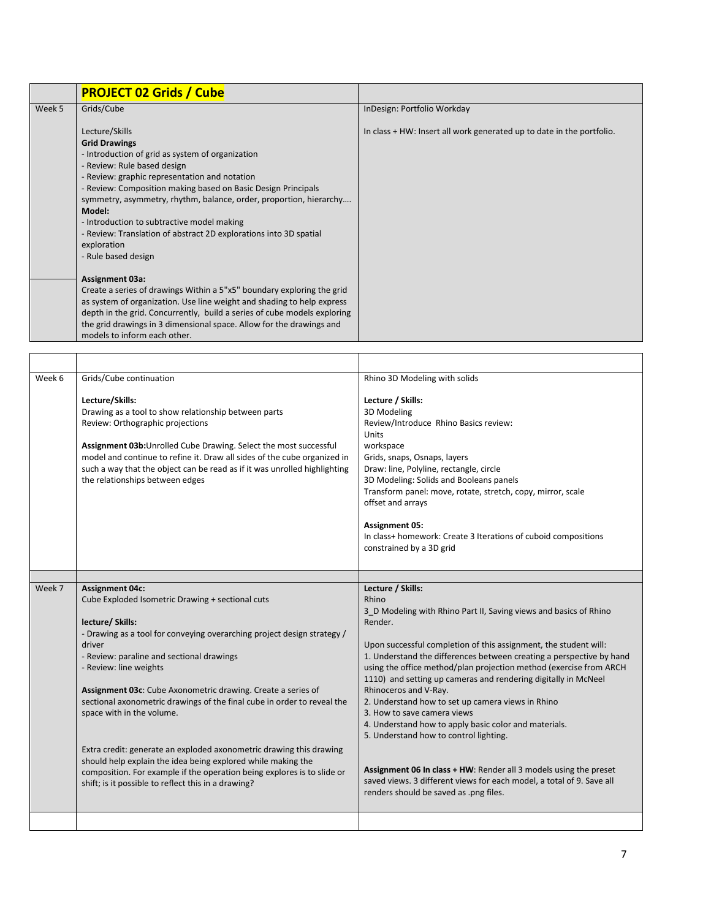|        | <b>PROJECT 02 Grids / Cube</b>                                           |                                                                       |
|--------|--------------------------------------------------------------------------|-----------------------------------------------------------------------|
| Week 5 | Grids/Cube                                                               | InDesign: Portfolio Workday                                           |
|        | Lecture/Skills                                                           | In class + HW: Insert all work generated up to date in the portfolio. |
|        | <b>Grid Drawings</b>                                                     |                                                                       |
|        | - Introduction of grid as system of organization                         |                                                                       |
|        | - Review: Rule based design                                              |                                                                       |
|        | - Review: graphic representation and notation                            |                                                                       |
|        | - Review: Composition making based on Basic Design Principals            |                                                                       |
|        | symmetry, asymmetry, rhythm, balance, order, proportion, hierarchy       |                                                                       |
|        | Model:                                                                   |                                                                       |
|        | - Introduction to subtractive model making                               |                                                                       |
|        | - Review: Translation of abstract 2D explorations into 3D spatial        |                                                                       |
|        | exploration                                                              |                                                                       |
|        | - Rule based design                                                      |                                                                       |
|        | Assignment 03a:                                                          |                                                                       |
|        | Create a series of drawings Within a 5"x5" boundary exploring the grid   |                                                                       |
|        | as system of organization. Use line weight and shading to help express   |                                                                       |
|        | depth in the grid. Concurrently, build a series of cube models exploring |                                                                       |
|        | the grid drawings in 3 dimensional space. Allow for the drawings and     |                                                                       |
|        | models to inform each other.                                             |                                                                       |

| Week 6 | Grids/Cube continuation                                                                                                                                                                                                                                                                                                                                                                                                                                                                                                                                                                                                                                                                                     | Rhino 3D Modeling with solids                                                                                                                                                                                                                                                                                                                                                                                                                                                                                                                                                                                                                                                                                                                                                                          |
|--------|-------------------------------------------------------------------------------------------------------------------------------------------------------------------------------------------------------------------------------------------------------------------------------------------------------------------------------------------------------------------------------------------------------------------------------------------------------------------------------------------------------------------------------------------------------------------------------------------------------------------------------------------------------------------------------------------------------------|--------------------------------------------------------------------------------------------------------------------------------------------------------------------------------------------------------------------------------------------------------------------------------------------------------------------------------------------------------------------------------------------------------------------------------------------------------------------------------------------------------------------------------------------------------------------------------------------------------------------------------------------------------------------------------------------------------------------------------------------------------------------------------------------------------|
|        | Lecture/Skills:<br>Drawing as a tool to show relationship between parts<br>Review: Orthographic projections<br>Assignment 03b: Unrolled Cube Drawing. Select the most successful<br>model and continue to refine it. Draw all sides of the cube organized in<br>such a way that the object can be read as if it was unrolled highlighting<br>the relationships between edges                                                                                                                                                                                                                                                                                                                                | Lecture / Skills:<br>3D Modeling<br>Review/Introduce Rhino Basics review:<br>Units<br>workspace<br>Grids, snaps, Osnaps, layers<br>Draw: line, Polyline, rectangle, circle<br>3D Modeling: Solids and Booleans panels<br>Transform panel: move, rotate, stretch, copy, mirror, scale<br>offset and arrays<br><b>Assignment 05:</b><br>In class+ homework: Create 3 Iterations of cuboid compositions<br>constrained by a 3D grid                                                                                                                                                                                                                                                                                                                                                                       |
|        |                                                                                                                                                                                                                                                                                                                                                                                                                                                                                                                                                                                                                                                                                                             |                                                                                                                                                                                                                                                                                                                                                                                                                                                                                                                                                                                                                                                                                                                                                                                                        |
| Week 7 | <b>Assignment 04c:</b><br>Cube Exploded Isometric Drawing + sectional cuts<br>lecture/ Skills:<br>- Drawing as a tool for conveying overarching project design strategy /<br>driver<br>- Review: paraline and sectional drawings<br>- Review: line weights<br>Assignment 03c: Cube Axonometric drawing. Create a series of<br>sectional axonometric drawings of the final cube in order to reveal the<br>space with in the volume.<br>Extra credit: generate an exploded axonometric drawing this drawing<br>should help explain the idea being explored while making the<br>composition. For example if the operation being explores is to slide or<br>shift; is it possible to reflect this in a drawing? | Lecture / Skills:<br>Rhino<br>3 D Modeling with Rhino Part II, Saving views and basics of Rhino<br>Render.<br>Upon successful completion of this assignment, the student will:<br>1. Understand the differences between creating a perspective by hand<br>using the office method/plan projection method (exercise from ARCH<br>1110) and setting up cameras and rendering digitally in McNeel<br>Rhinoceros and V-Ray.<br>2. Understand how to set up camera views in Rhino<br>3. How to save camera views<br>4. Understand how to apply basic color and materials.<br>5. Understand how to control lighting.<br>Assignment 06 In class + HW: Render all 3 models using the preset<br>saved views. 3 different views for each model, a total of 9. Save all<br>renders should be saved as .png files. |
|        |                                                                                                                                                                                                                                                                                                                                                                                                                                                                                                                                                                                                                                                                                                             |                                                                                                                                                                                                                                                                                                                                                                                                                                                                                                                                                                                                                                                                                                                                                                                                        |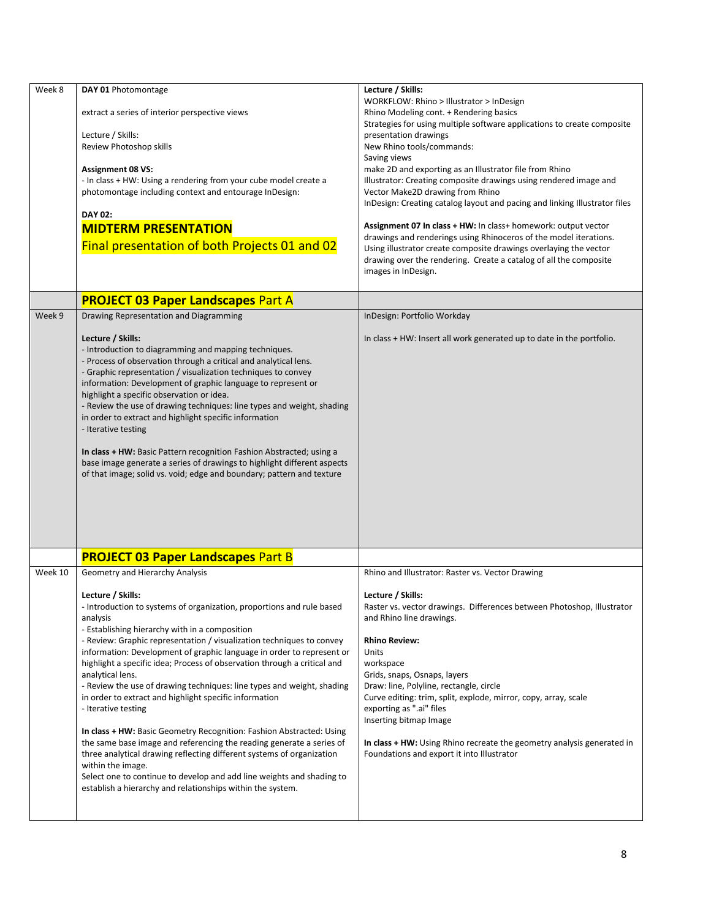| Week 8  | DAY 01 Photomontage<br>extract a series of interior perspective views<br>Lecture / Skills:<br>Review Photoshop skills<br><b>Assignment 08 VS:</b><br>- In class + HW: Using a rendering from your cube model create a<br>photomontage including context and entourage InDesign:<br>DAY 02:<br><b>MIDTERM PRESENTATION</b><br>Final presentation of both Projects 01 and 02                                                                                                                                                                                                                                                                                                                                                                                                                                                                                                                                                                                 | Lecture / Skills:<br>WORKFLOW: Rhino > Illustrator > InDesign<br>Rhino Modeling cont. + Rendering basics<br>Strategies for using multiple software applications to create composite<br>presentation drawings<br>New Rhino tools/commands:<br>Saving views<br>make 2D and exporting as an Illustrator file from Rhino<br>Illustrator: Creating composite drawings using rendered image and<br>Vector Make2D drawing from Rhino<br>InDesign: Creating catalog layout and pacing and linking Illustrator files<br>Assignment 07 In class + HW: In class+ homework: output vector<br>drawings and renderings using Rhinoceros of the model iterations.<br>Using illustrator create composite drawings overlaying the vector<br>drawing over the rendering. Create a catalog of all the composite<br>images in InDesign. |  |
|---------|------------------------------------------------------------------------------------------------------------------------------------------------------------------------------------------------------------------------------------------------------------------------------------------------------------------------------------------------------------------------------------------------------------------------------------------------------------------------------------------------------------------------------------------------------------------------------------------------------------------------------------------------------------------------------------------------------------------------------------------------------------------------------------------------------------------------------------------------------------------------------------------------------------------------------------------------------------|---------------------------------------------------------------------------------------------------------------------------------------------------------------------------------------------------------------------------------------------------------------------------------------------------------------------------------------------------------------------------------------------------------------------------------------------------------------------------------------------------------------------------------------------------------------------------------------------------------------------------------------------------------------------------------------------------------------------------------------------------------------------------------------------------------------------|--|
|         | <b>PROJECT 03 Paper Landscapes Part A</b>                                                                                                                                                                                                                                                                                                                                                                                                                                                                                                                                                                                                                                                                                                                                                                                                                                                                                                                  |                                                                                                                                                                                                                                                                                                                                                                                                                                                                                                                                                                                                                                                                                                                                                                                                                     |  |
| Week 9  | Drawing Representation and Diagramming                                                                                                                                                                                                                                                                                                                                                                                                                                                                                                                                                                                                                                                                                                                                                                                                                                                                                                                     | InDesign: Portfolio Workday                                                                                                                                                                                                                                                                                                                                                                                                                                                                                                                                                                                                                                                                                                                                                                                         |  |
|         | Lecture / Skills:<br>- Introduction to diagramming and mapping techniques.<br>- Process of observation through a critical and analytical lens.<br>- Graphic representation / visualization techniques to convey<br>information: Development of graphic language to represent or<br>highlight a specific observation or idea.<br>- Review the use of drawing techniques: line types and weight, shading<br>in order to extract and highlight specific information<br>- Iterative testing<br>In class + HW: Basic Pattern recognition Fashion Abstracted; using a<br>base image generate a series of drawings to highlight different aspects<br>of that image; solid vs. void; edge and boundary; pattern and texture                                                                                                                                                                                                                                        | In class + HW: Insert all work generated up to date in the portfolio.                                                                                                                                                                                                                                                                                                                                                                                                                                                                                                                                                                                                                                                                                                                                               |  |
|         | <b>PROJECT 03 Paper Landscapes Part B</b>                                                                                                                                                                                                                                                                                                                                                                                                                                                                                                                                                                                                                                                                                                                                                                                                                                                                                                                  |                                                                                                                                                                                                                                                                                                                                                                                                                                                                                                                                                                                                                                                                                                                                                                                                                     |  |
| Week 10 | Geometry and Hierarchy Analysis                                                                                                                                                                                                                                                                                                                                                                                                                                                                                                                                                                                                                                                                                                                                                                                                                                                                                                                            | Rhino and Illustrator: Raster vs. Vector Drawing                                                                                                                                                                                                                                                                                                                                                                                                                                                                                                                                                                                                                                                                                                                                                                    |  |
|         | Lecture / Skills:<br>- Introduction to systems of organization, proportions and rule based<br>analysis<br>- Establishing hierarchy with in a composition<br>- Review: Graphic representation / visualization techniques to convey<br>information: Development of graphic language in order to represent or<br>highlight a specific idea; Process of observation through a critical and<br>analytical lens.<br>- Review the use of drawing techniques: line types and weight, shading<br>in order to extract and highlight specific information<br>- Iterative testing<br>In class + HW: Basic Geometry Recognition: Fashion Abstracted: Using<br>the same base image and referencing the reading generate a series of<br>three analytical drawing reflecting different systems of organization<br>within the image.<br>Select one to continue to develop and add line weights and shading to<br>establish a hierarchy and relationships within the system. | Lecture / Skills:<br>Raster vs. vector drawings. Differences between Photoshop, Illustrator<br>and Rhino line drawings.<br><b>Rhino Review:</b><br>Units<br>workspace<br>Grids, snaps, Osnaps, layers<br>Draw: line, Polyline, rectangle, circle<br>Curve editing: trim, split, explode, mirror, copy, array, scale<br>exporting as ".ai" files<br>Inserting bitmap Image<br>In class + HW: Using Rhino recreate the geometry analysis generated in<br>Foundations and export it into Illustrator                                                                                                                                                                                                                                                                                                                   |  |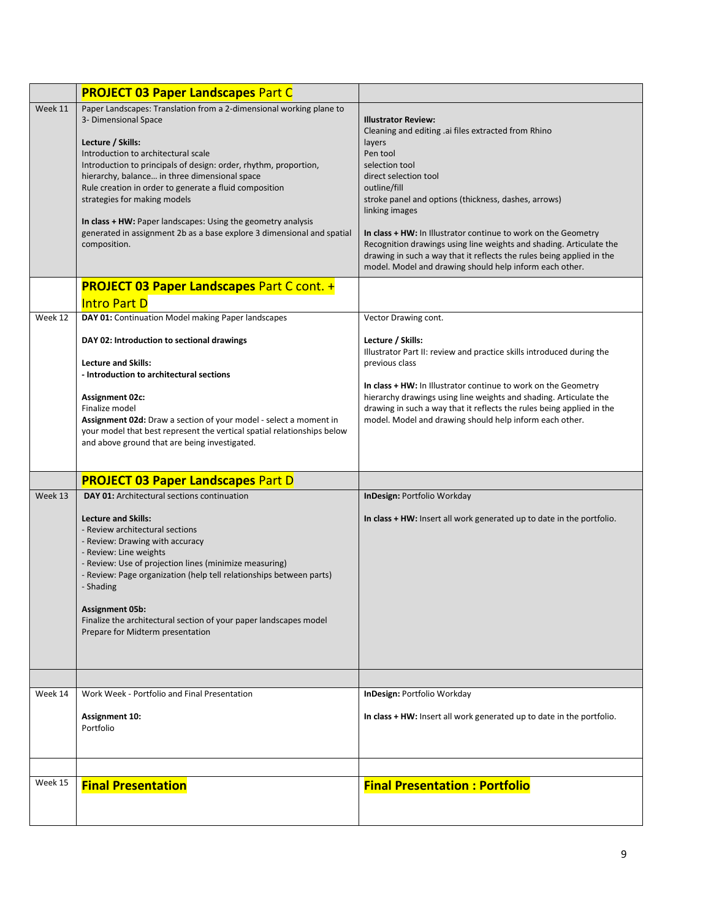|         | <b>PROJECT 03 Paper Landscapes Part C</b>                                                                                                                                                                                                                                                                                                                                                                                                                                                                                        |                                                                                                                                                                                                                                                                                                                                                                                                                                                                                                                           |
|---------|----------------------------------------------------------------------------------------------------------------------------------------------------------------------------------------------------------------------------------------------------------------------------------------------------------------------------------------------------------------------------------------------------------------------------------------------------------------------------------------------------------------------------------|---------------------------------------------------------------------------------------------------------------------------------------------------------------------------------------------------------------------------------------------------------------------------------------------------------------------------------------------------------------------------------------------------------------------------------------------------------------------------------------------------------------------------|
| Week 11 | Paper Landscapes: Translation from a 2-dimensional working plane to<br>3- Dimensional Space<br>Lecture / Skills:<br>Introduction to architectural scale<br>Introduction to principals of design: order, rhythm, proportion,<br>hierarchy, balance in three dimensional space<br>Rule creation in order to generate a fluid composition<br>strategies for making models<br>In class + HW: Paper landscapes: Using the geometry analysis<br>generated in assignment 2b as a base explore 3 dimensional and spatial<br>composition. | <b>Illustrator Review:</b><br>Cleaning and editing .ai files extracted from Rhino<br>layers<br>Pen tool<br>selection tool<br>direct selection tool<br>outline/fill<br>stroke panel and options (thickness, dashes, arrows)<br>linking images<br>In class + HW: In Illustrator continue to work on the Geometry<br>Recognition drawings using line weights and shading. Articulate the<br>drawing in such a way that it reflects the rules being applied in the<br>model. Model and drawing should help inform each other. |
|         | <b>PROJECT 03 Paper Landscapes Part C cont. +</b><br><b>Intro Part D</b>                                                                                                                                                                                                                                                                                                                                                                                                                                                         |                                                                                                                                                                                                                                                                                                                                                                                                                                                                                                                           |
| Week 12 | DAY 01: Continuation Model making Paper landscapes                                                                                                                                                                                                                                                                                                                                                                                                                                                                               | Vector Drawing cont.                                                                                                                                                                                                                                                                                                                                                                                                                                                                                                      |
|         | DAY 02: Introduction to sectional drawings<br><b>Lecture and Skills:</b><br>- Introduction to architectural sections<br><b>Assignment 02c:</b><br>Finalize model<br>Assignment 02d: Draw a section of your model - select a moment in<br>your model that best represent the vertical spatial relationships below<br>and above ground that are being investigated.                                                                                                                                                                | Lecture / Skills:<br>Illustrator Part II: review and practice skills introduced during the<br>previous class<br>In class + HW: In Illustrator continue to work on the Geometry<br>hierarchy drawings using line weights and shading. Articulate the<br>drawing in such a way that it reflects the rules being applied in the<br>model. Model and drawing should help inform each other.                                                                                                                                   |
|         | <b>PROJECT 03 Paper Landscapes Part D</b>                                                                                                                                                                                                                                                                                                                                                                                                                                                                                        |                                                                                                                                                                                                                                                                                                                                                                                                                                                                                                                           |
| Week 13 | <b>DAY 01: Architectural sections continuation</b>                                                                                                                                                                                                                                                                                                                                                                                                                                                                               | InDesign: Portfolio Workday                                                                                                                                                                                                                                                                                                                                                                                                                                                                                               |
|         | <b>Lecture and Skills:</b><br>- Review architectural sections<br>- Review: Drawing with accuracy<br>- Review: Line weights<br>- Review: Use of projection lines (minimize measuring)<br>- Review: Page organization (help tell relationships between parts)<br>- Shading<br><b>Assignment 05b:</b><br>Finalize the architectural section of your paper landscapes model<br>Prepare for Midterm presentation                                                                                                                      | In class + HW: Insert all work generated up to date in the portfolio.                                                                                                                                                                                                                                                                                                                                                                                                                                                     |
|         |                                                                                                                                                                                                                                                                                                                                                                                                                                                                                                                                  |                                                                                                                                                                                                                                                                                                                                                                                                                                                                                                                           |
| Week 14 | Work Week - Portfolio and Final Presentation<br><b>Assignment 10:</b><br>Portfolio                                                                                                                                                                                                                                                                                                                                                                                                                                               | InDesign: Portfolio Workday<br>In class + HW: Insert all work generated up to date in the portfolio.                                                                                                                                                                                                                                                                                                                                                                                                                      |
|         |                                                                                                                                                                                                                                                                                                                                                                                                                                                                                                                                  |                                                                                                                                                                                                                                                                                                                                                                                                                                                                                                                           |
| Week 15 | <b>Final Presentation</b>                                                                                                                                                                                                                                                                                                                                                                                                                                                                                                        | <b>Final Presentation: Portfolio</b>                                                                                                                                                                                                                                                                                                                                                                                                                                                                                      |